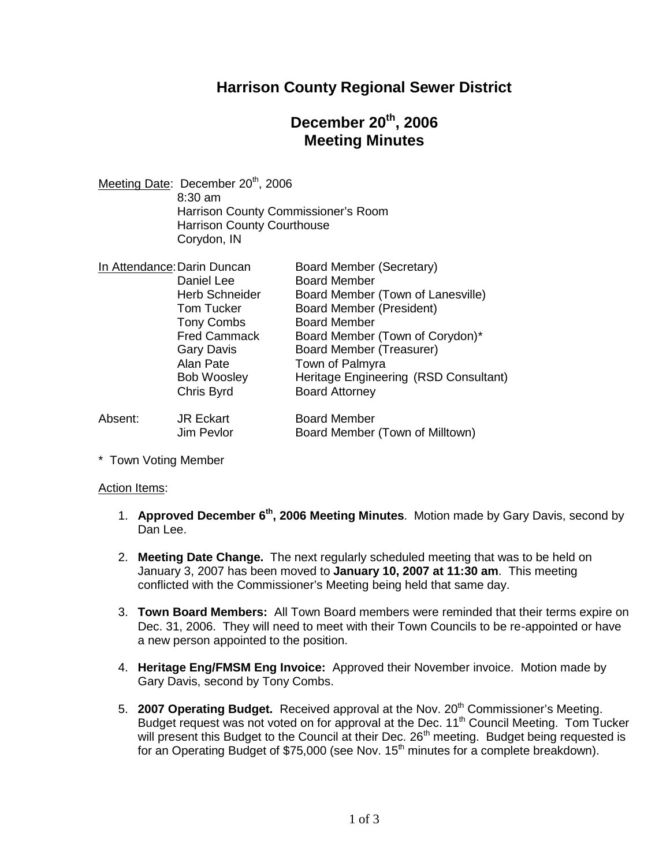## **Harrison County Regional Sewer District**

## **December 20th , 2006 Meeting Minutes**

Meeting Date: December 20<sup>th</sup>, 2006 8:30 am Harrison County Commissioner's Room Harrison County Courthouse Corydon, IN

| In Attendance: Darin Duncan |                       | Board Member (Secretary)              |
|-----------------------------|-----------------------|---------------------------------------|
|                             | Daniel Lee            | <b>Board Member</b>                   |
|                             | <b>Herb Schneider</b> | Board Member (Town of Lanesville)     |
|                             | <b>Tom Tucker</b>     | <b>Board Member (President)</b>       |
|                             | <b>Tony Combs</b>     | <b>Board Member</b>                   |
|                             | <b>Fred Cammack</b>   | Board Member (Town of Corydon)*       |
|                             | <b>Gary Davis</b>     | Board Member (Treasurer)              |
|                             | Alan Pate             | Town of Palmyra                       |
|                             | <b>Bob Woosley</b>    | Heritage Engineering (RSD Consultant) |
|                             | Chris Byrd            | <b>Board Attorney</b>                 |
| Absent:                     | <b>JR Eckart</b>      | <b>Board Member</b>                   |
|                             | Jim Pevlor            | Board Member (Town of Milltown)       |

\* Town Voting Member

### Action Items:

- 1. **Approved December 6th , 2006 Meeting Minutes**. Motion made by Gary Davis, second by Dan Lee.
- 2. **Meeting Date Change.** The next regularly scheduled meeting that was to be held on January 3, 2007 has been moved to **January 10, 2007 at 11:30 am**. This meeting conflicted with the Commissioner's Meeting being held that same day.
- 3. **Town Board Members:** All Town Board members were reminded that their terms expire on Dec. 31, 2006. They will need to meet with their Town Councils to be re-appointed or have a new person appointed to the position.
- 4. **Heritage Eng/FMSM Eng Invoice:** Approved their November invoice. Motion made by Gary Davis, second by Tony Combs.
- 5. **2007 Operating Budget.** Received approval at the Nov. 20<sup>th</sup> Commissioner's Meeting. Budget request was not voted on for approval at the Dec. 11<sup>th</sup> Council Meeting. Tom Tucker will present this Budget to the Council at their Dec. 26<sup>th</sup> meeting. Budget being requested is for an Operating Budget of \$75,000 (see Nov.  $15<sup>th</sup>$  minutes for a complete breakdown).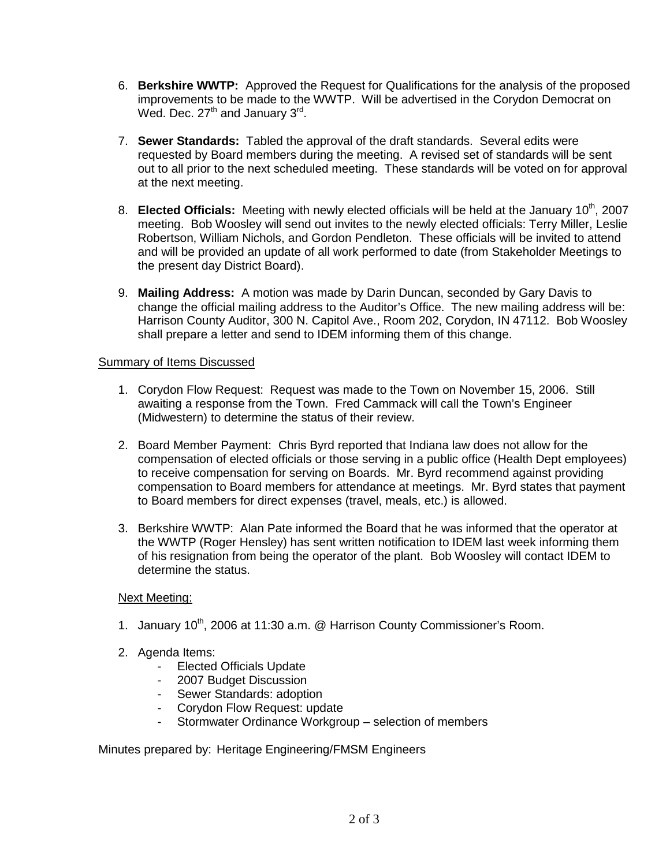- 6. **Berkshire WWTP:** Approved the Request for Qualifications for the analysis of the proposed improvements to be made to the WWTP. Will be advertised in the Corydon Democrat on Wed. Dec. 27<sup>th</sup> and January 3<sup>rd</sup>.
- 7. **Sewer Standards:** Tabled the approval of the draft standards. Several edits were requested by Board members during the meeting. A revised set of standards will be sent out to all prior to the next scheduled meeting. These standards will be voted on for approval at the next meeting.
- 8. **Elected Officials:** Meeting with newly elected officials will be held at the January 10<sup>th</sup>, 2007 meeting. Bob Woosley will send out invites to the newly elected officials: Terry Miller, Leslie Robertson, William Nichols, and Gordon Pendleton. These officials will be invited to attend and will be provided an update of all work performed to date (from Stakeholder Meetings to the present day District Board).
- 9. **Mailing Address:** A motion was made by Darin Duncan, seconded by Gary Davis to change the official mailing address to the Auditor's Office. The new mailing address will be: Harrison County Auditor, 300 N. Capitol Ave., Room 202, Corydon, IN 47112. Bob Woosley shall prepare a letter and send to IDEM informing them of this change.

### Summary of Items Discussed

- 1. Corydon Flow Request: Request was made to the Town on November 15, 2006. Still awaiting a response from the Town. Fred Cammack will call the Town's Engineer (Midwestern) to determine the status of their review.
- 2. Board Member Payment: Chris Byrd reported that Indiana law does not allow for the compensation of elected officials or those serving in a public office (Health Dept employees) to receive compensation for serving on Boards. Mr. Byrd recommend against providing compensation to Board members for attendance at meetings. Mr. Byrd states that payment to Board members for direct expenses (travel, meals, etc.) is allowed.
- 3. Berkshire WWTP: Alan Pate informed the Board that he was informed that the operator at the WWTP (Roger Hensley) has sent written notification to IDEM last week informing them of his resignation from being the operator of the plant. Bob Woosley will contact IDEM to determine the status.

### Next Meeting:

- 1. January 10<sup>th</sup>, 2006 at 11:30 a.m. @ Harrison County Commissioner's Room.
- 2. Agenda Items:
	- Elected Officials Update
	- 2007 Budget Discussion
	- Sewer Standards: adoption
	- Corydon Flow Request: update<br>- Stormwater Ordinance Workgro
	- Stormwater Ordinance Workgroup selection of members

Minutes prepared by: Heritage Engineering/FMSM Engineers